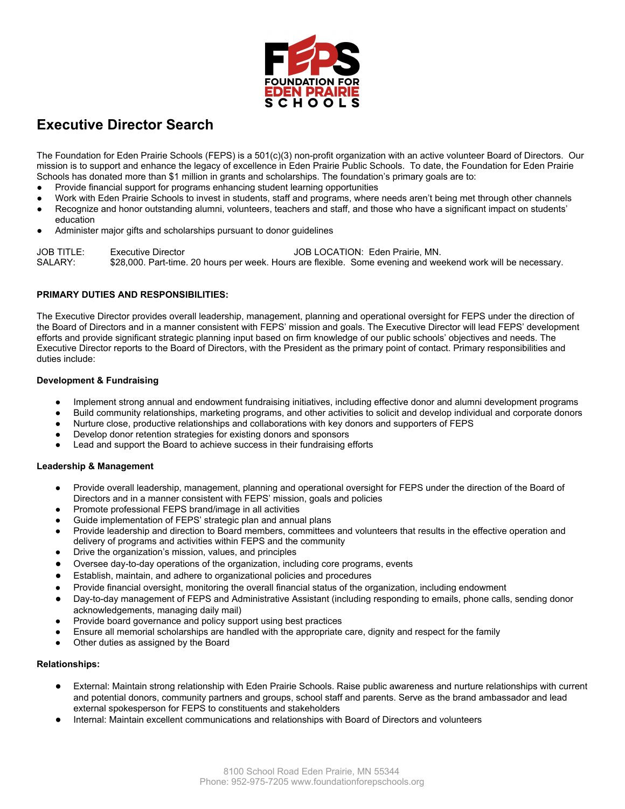

# **Executive Director Search**

The Foundation for Eden Prairie Schools (FEPS) is a 501(c)(3) non-profit organization with an active volunteer Board of Directors. Our mission is to support and enhance the legacy of excellence in Eden Prairie Public Schools. To date, the Foundation for Eden Prairie Schools has donated more than \$1 million in grants and scholarships. The foundation's primary goals are to:

- Provide financial support for programs enhancing student learning opportunities
- Work with Eden Prairie Schools to invest in students, staff and programs, where needs aren't being met through other channels
- Recognize and honor outstanding alumni, volunteers, teachers and staff, and those who have a significant impact on students' education
- Administer major gifts and scholarships pursuant to donor guidelines

JOB TITLE: Executive Director Contract COB LOCATION: Eden Prairie, MN. SALARY: \$28,000. Part-time. 20 hours per week. Hours are flexible. Some evening and weekend work will be necessary.

## **PRIMARY DUTIES AND RESPONSIBILITIES:**

The Executive Director provides overall leadership, management, planning and operational oversight for FEPS under the direction of the Board of Directors and in a manner consistent with FEPS' mission and goals. The Executive Director will lead FEPS' development efforts and provide significant strategic planning input based on firm knowledge of our public schools' objectives and needs. The Executive Director reports to the Board of Directors, with the President as the primary point of contact. Primary responsibilities and duties include:

## **Development & Fundraising**

- Implement strong annual and endowment fundraising initiatives, including effective donor and alumni development programs
- Build community relationships, marketing programs, and other activities to solicit and develop individual and corporate donors
- Nurture close, productive relationships and collaborations with key donors and supporters of FEPS
- Develop donor retention strategies for existing donors and sponsors
- Lead and support the Board to achieve success in their fundraising efforts

## **Leadership & Management**

- Provide overall leadership, management, planning and operational oversight for FEPS under the direction of the Board of Directors and in a manner consistent with FEPS' mission, goals and policies
- Promote professional FEPS brand/image in all activities
- Guide implementation of FEPS' strategic plan and annual plans
- Provide leadership and direction to Board members, committees and volunteers that results in the effective operation and delivery of programs and activities within FEPS and the community
- Drive the organization's mission, values, and principles
- Oversee day-to-day operations of the organization, including core programs, events
- Establish, maintain, and adhere to organizational policies and procedures
- Provide financial oversight, monitoring the overall financial status of the organization, including endowment
- Day-to-day management of FEPS and Administrative Assistant (including responding to emails, phone calls, sending donor acknowledgements, managing daily mail)
- Provide board governance and policy support using best practices
- Ensure all memorial scholarships are handled with the appropriate care, dignity and respect for the family
- Other duties as assigned by the Board

### **Relationships:**

- External: Maintain strong relationship with Eden Prairie Schools. Raise public awareness and nurture relationships with current and potential donors, community partners and groups, school staff and parents. Serve as the brand ambassador and lead external spokesperson for FEPS to constituents and stakeholders
- Internal: Maintain excellent communications and relationships with Board of Directors and volunteers